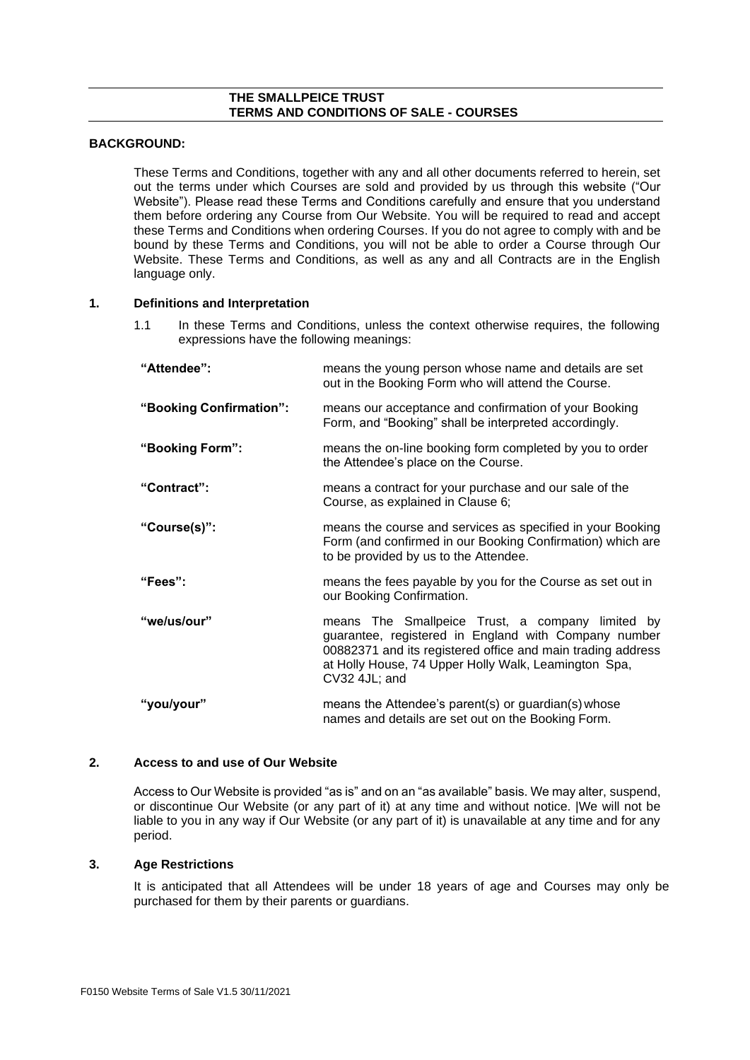### **THE SMALLPEICE TRUST TERMS AND CONDITIONS OF SALE - COURSES**

# **BACKGROUND:**

These Terms and Conditions, together with any and all other documents referred to herein, set out the terms under which Courses are sold and provided by us through this website ("Our Website"). Please read these Terms and Conditions carefully and ensure that you understand them before ordering any Course from Our Website. You will be required to read and accept these Terms and Conditions when ordering Courses. If you do not agree to comply with and be bound by these Terms and Conditions, you will not be able to order a Course through Our Website. These Terms and Conditions, as well as any and all Contracts are in the English language only.

### **1. Definitions and Interpretation**

1.1 In these Terms and Conditions, unless the context otherwise requires, the following expressions have the following meanings:

| "Attendee":             | means the young person whose name and details are set<br>out in the Booking Form who will attend the Course.                                                                                                                                     |
|-------------------------|--------------------------------------------------------------------------------------------------------------------------------------------------------------------------------------------------------------------------------------------------|
| "Booking Confirmation": | means our acceptance and confirmation of your Booking<br>Form, and "Booking" shall be interpreted accordingly.                                                                                                                                   |
| "Booking Form":         | means the on-line booking form completed by you to order<br>the Attendee's place on the Course.                                                                                                                                                  |
| "Contract":             | means a contract for your purchase and our sale of the<br>Course, as explained in Clause 6;                                                                                                                                                      |
| "Course(s)":            | means the course and services as specified in your Booking<br>Form (and confirmed in our Booking Confirmation) which are<br>to be provided by us to the Attendee.                                                                                |
| "Fees":                 | means the fees payable by you for the Course as set out in<br>our Booking Confirmation.                                                                                                                                                          |
| "we/us/our"             | means The Smallpeice Trust, a company limited by<br>guarantee, registered in England with Company number<br>00882371 and its registered office and main trading address<br>at Holly House, 74 Upper Holly Walk, Leamington Spa,<br>CV32 4JL; and |
| "you/your"              | means the Attendee's parent(s) or guardian(s) whose<br>names and details are set out on the Booking Form.                                                                                                                                        |

#### **2. Access to and use of Our Website**

Access to Our Website is provided "as is" and on an "as available" basis. We may alter, suspend, or discontinue Our Website (or any part of it) at any time and without notice. |We will not be liable to you in any way if Our Website (or any part of it) is unavailable at any time and for any period.

#### **3. Age Restrictions**

It is anticipated that all Attendees will be under 18 years of age and Courses may only be purchased for them by their parents or guardians.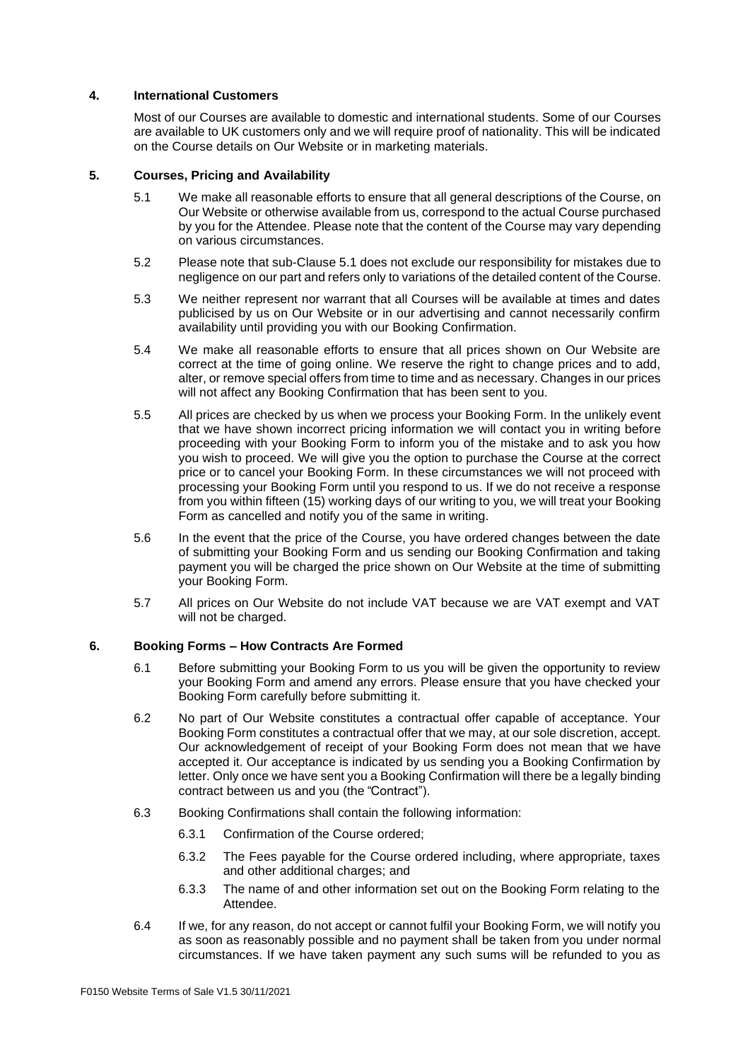## **4. International Customers**

Most of our Courses are available to domestic and international students. Some of our Courses are available to UK customers only and we will require proof of nationality. This will be indicated on the Course details on Our Website or in marketing materials.

## <span id="page-1-1"></span>**5. Courses, Pricing and Availability**

- 5.1 We make all reasonable efforts to ensure that all general descriptions of the Course, on Our Website or otherwise available from us, correspond to the actual Course purchased by you for the Attendee. Please note that the content of the Course may vary depending on various circumstances.
- 5.2 Please note that sub-Clause [5.1](#page-1-1) does not exclude our responsibility for mistakes due to negligence on our part and refers only to variations of the detailed content of the Course.
- 5.3 We neither represent nor warrant that all Courses will be available at times and dates publicised by us on Our Website or in our advertising and cannot necessarily confirm availability until providing you with our Booking Confirmation.
- 5.4 We make all reasonable efforts to ensure that all prices shown on Our Website are correct at the time of going online. We reserve the right to change prices and to add, alter, or remove special offers from time to time and as necessary. Changes in our prices will not affect any Booking Confirmation that has been sent to you.
- 5.5 All prices are checked by us when we process your Booking Form. In the unlikely event that we have shown incorrect pricing information we will contact you in writing before proceeding with your Booking Form to inform you of the mistake and to ask you how you wish to proceed. We will give you the option to purchase the Course at the correct price or to cancel your Booking Form. In these circumstances we will not proceed with processing your Booking Form until you respond to us. If we do not receive a response from you within fifteen (15) working days of our writing to you, we will treat your Booking Form as cancelled and notify you of the same in writing.
- 5.6 In the event that the price of the Course, you have ordered changes between the date of submitting your Booking Form and us sending our Booking Confirmation and taking payment you will be charged the price shown on Our Website at the time of submitting your Booking Form.
- 5.7 All prices on Our Website do not include VAT because we are VAT exempt and VAT will not be charged.

#### <span id="page-1-0"></span>**6. Booking Forms – How Contracts Are Formed**

- 6.1 Before submitting your Booking Form to us you will be given the opportunity to review your Booking Form and amend any errors. Please ensure that you have checked your Booking Form carefully before submitting it.
- 6.2 No part of Our Website constitutes a contractual offer capable of acceptance. Your Booking Form constitutes a contractual offer that we may, at our sole discretion, accept. Our acknowledgement of receipt of your Booking Form does not mean that we have accepted it. Our acceptance is indicated by us sending you a Booking Confirmation by letter. Only once we have sent you a Booking Confirmation will there be a legally binding contract between us and you (the "Contract").
- 6.3 Booking Confirmations shall contain the following information:
	- 6.3.1 Confirmation of the Course ordered;
	- 6.3.2 The Fees payable for the Course ordered including, where appropriate, taxes and other additional charges; and
	- 6.3.3 The name of and other information set out on the Booking Form relating to the Attendee.
- 6.4 If we, for any reason, do not accept or cannot fulfil your Booking Form, we will notify you as soon as reasonably possible and no payment shall be taken from you under normal circumstances. If we have taken payment any such sums will be refunded to you as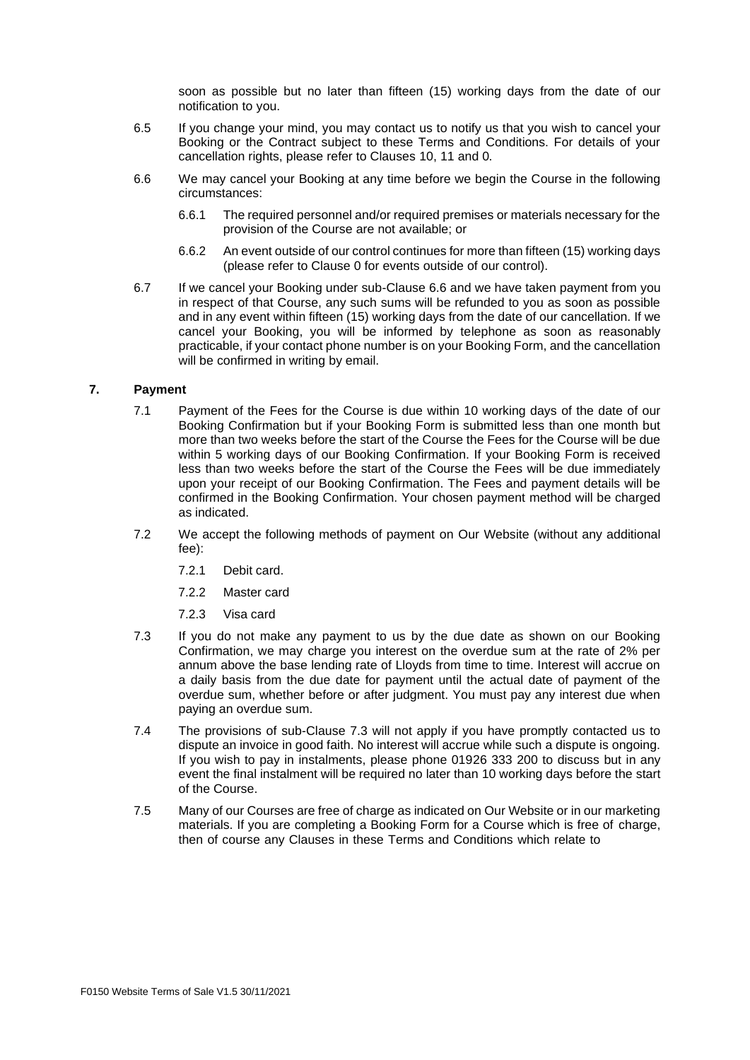soon as possible but no later than fifteen (15) working days from the date of our notification to you.

- 6.5 If you change your mind, you may contact us to notify us that you wish to cancel your Booking or the Contract subject to these Terms and Conditions. For details of your cancellation rights, please refer to Clauses [10,](#page-4-0) 11 and [0.](#page-4-1)
- <span id="page-2-0"></span>6.6 We may cancel your Booking at any time before we begin the Course in the following circumstances:
	- 6.6.1 The required personnel and/or required premises or materials necessary for the provision of the Course are not available; or
	- 6.6.2 An event outside of our control continues for more than fifteen (15) working days (please refer to Clause [0](#page-5-0) for events outside of our control).
- 6.7 If we cancel your Booking under sub-Clause [6.6](#page-2-0) and we have taken payment from you in respect of that Course, any such sums will be refunded to you as soon as possible and in any event within fifteen (15) working days from the date of our cancellation. If we cancel your Booking, you will be informed by telephone as soon as reasonably practicable, if your contact phone number is on your Booking Form, and the cancellation will be confirmed in writing by email.

### <span id="page-2-2"></span>**7. Payment**

- 7.1 Payment of the Fees for the Course is due within 10 working days of the date of our Booking Confirmation but if your Booking Form is submitted less than one month but more than two weeks before the start of the Course the Fees for the Course will be due within 5 working days of our Booking Confirmation. If your Booking Form is received less than two weeks before the start of the Course the Fees will be due immediately upon your receipt of our Booking Confirmation. The Fees and payment details will be confirmed in the Booking Confirmation. Your chosen payment method will be charged as indicated.
- 7.2 We accept the following methods of payment on Our Website (without any additional fee):
	- 7.2.1 Debit card.
	- 7.2.2 Master card
	- 7.2.3 Visa card
- <span id="page-2-1"></span>7.3 If you do not make any payment to us by the due date as shown on our Booking Confirmation, we may charge you interest on the overdue sum at the rate of 2% per annum above the base lending rate of Lloyds from time to time. Interest will accrue on a daily basis from the due date for payment until the actual date of payment of the overdue sum, whether before or after judgment. You must pay any interest due when paying an overdue sum.
- 7.4 The provisions of sub-Clause [7.3](#page-2-1) will not apply if you have promptly contacted us to dispute an invoice in good faith. No interest will accrue while such a dispute is ongoing. If you wish to pay in instalments, please phone 01926 333 200 to discuss but in any event the final instalment will be required no later than 10 working days before the start of the Course.
- 7.5 Many of our Courses are free of charge as indicated on Our Website or in our marketing materials. If you are completing a Booking Form for a Course which is free of charge, then of course any Clauses in these Terms and Conditions which relate to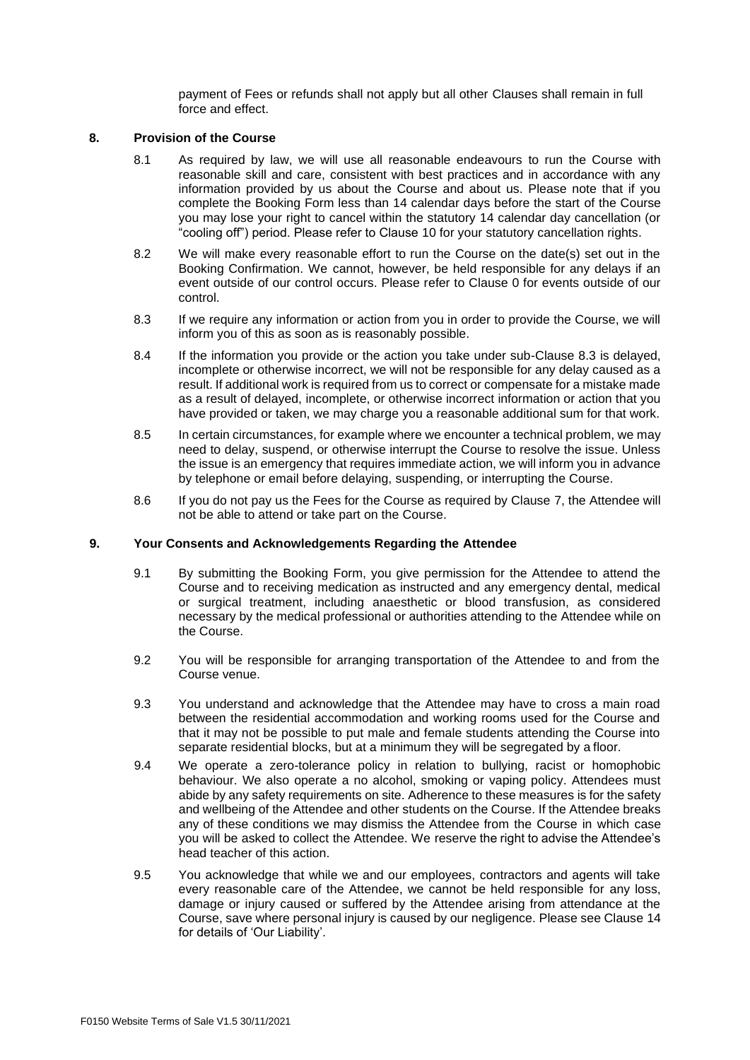payment of Fees or refunds shall not apply but all other Clauses shall remain in full force and effect.

#### **8. Provision of the Course**

- 8.1 As required by law, we will use all reasonable endeavours to run the Course with reasonable skill and care, consistent with best practices and in accordance with any information provided by us about the Course and about us. Please note that if you complete the Booking Form less than 14 calendar days before the start of the Course you may lose your right to cancel within the statutory 14 calendar day cancellation (or "cooling off") period. Please refer to Clause [10](#page-4-0) for your statutory cancellation rights.
- 8.2 We will make every reasonable effort to run the Course on the date(s) set out in the Booking Confirmation. We cannot, however, be held responsible for any delays if an event outside of our control occurs. Please refer to Clause [0](#page-5-0) for events outside of our control.
- <span id="page-3-0"></span>8.3 If we require any information or action from you in order to provide the Course, we will inform you of this as soon as is reasonably possible.
- <span id="page-3-1"></span>8.4 If the information you provide or the action you take under sub-Clause [8.3](#page-3-0) is delayed, incomplete or otherwise incorrect, we will not be responsible for any delay caused as a result. If additional work is required from us to correct or compensate for a mistake made as a result of delayed, incomplete, or otherwise incorrect information or action that you have provided or taken, we may charge you a reasonable additional sum for that work.
- 8.5 In certain circumstances, for example where we encounter a technical problem, we may need to delay, suspend, or otherwise interrupt the Course to resolve the issue. Unless the issue is an emergency that requires immediate action, we will inform you in advance by telephone or email before delaying, suspending, or interrupting the Course.
- 8.6 If you do not pay us the Fees for the Course as required by Clause [7,](#page-2-2) the Attendee will not be able to attend or take part on the Course.

#### **9. Your Consents and Acknowledgements Regarding the Attendee**

- 9.1 By submitting the Booking Form, you give permission for the Attendee to attend the Course and to receiving medication as instructed and any emergency dental, medical or surgical treatment, including anaesthetic or blood transfusion, as considered necessary by the medical professional or authorities attending to the Attendee while on the Course.
- 9.2 You will be responsible for arranging transportation of the Attendee to and from the Course venue.
- 9.3 You understand and acknowledge that the Attendee may have to cross a main road between the residential accommodation and working rooms used for the Course and that it may not be possible to put male and female students attending the Course into separate residential blocks, but at a minimum they will be segregated by a floor.
- 9.4 We operate a zero-tolerance policy in relation to bullying, racist or homophobic behaviour. We also operate a no alcohol, smoking or vaping policy. Attendees must abide by any safety requirements on site. Adherence to these measures is for the safety and wellbeing of the Attendee and other students on the Course. If the Attendee breaks any of these conditions we may dismiss the Attendee from the Course in which case you will be asked to collect the Attendee. We reserve the right to advise the Attendee's head teacher of this action.
- 9.5 You acknowledge that while we and our employees, contractors and agents will take every reasonable care of the Attendee, we cannot be held responsible for any loss, damage or injury caused or suffered by the Attendee arising from attendance at the Course, save where personal injury is caused by our negligence. Please see Clause [14](#page-5-1) for details of 'Our Liability'.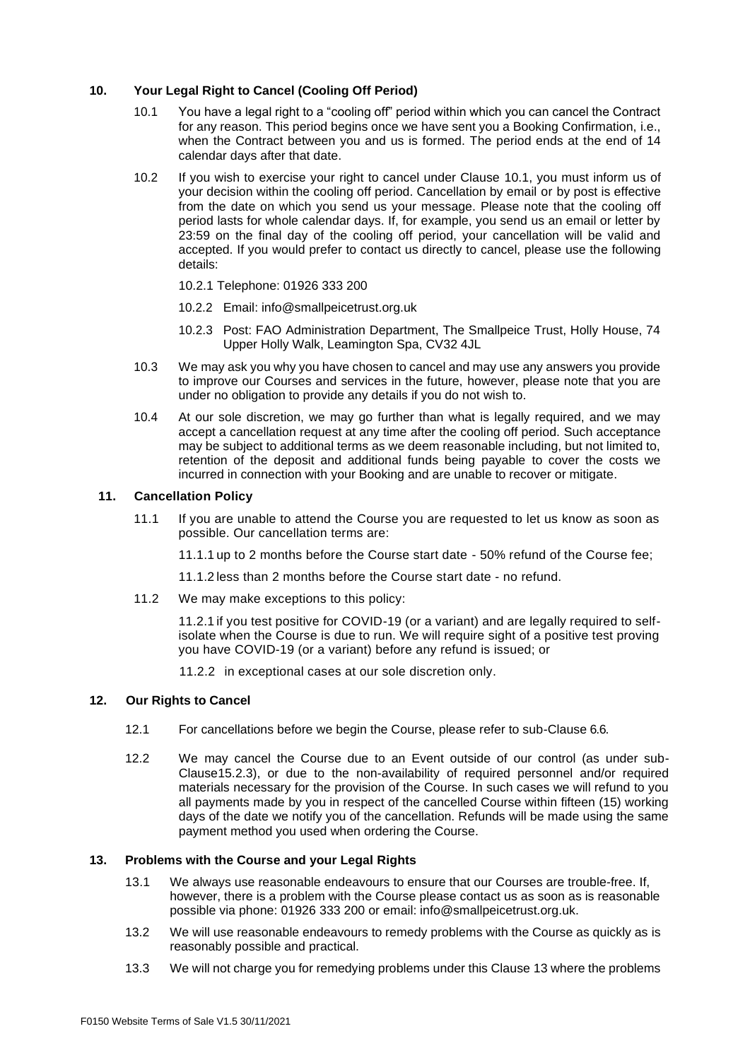### <span id="page-4-2"></span><span id="page-4-0"></span>**10. Your Legal Right to Cancel (Cooling Off Period)**

- 10.1 You have a legal right to a "cooling off" period within which you can cancel the Contract for any reason. This period begins once we have sent you a Booking Confirmation, i.e., when the Contract between you and us is formed. The period ends at the end of 14 calendar days after that date.
- 10.2 If you wish to exercise your right to cancel under Clause [10.1,](#page-4-2) you must inform us of your decision within the cooling off period. Cancellation by email or by post is effective from the date on which you send us your message. Please note that the cooling off period lasts for whole calendar days. If, for example, you send us an email or letter by 23:59 on the final day of the cooling off period, your cancellation will be valid and accepted. If you would prefer to contact us directly to cancel, please use the following details:
	- 10.2.1 Telephone: 01926 333 200
	- 10.2.2 Email: [info@smallpeicetrust.org.uk](mailto:info@smallpeicetrust.org.uk)
	- 10.2.3 Post: FAO Administration Department, The Smallpeice Trust, Holly House, 74 Upper Holly Walk, Leamington Spa, CV32 4JL
- 10.3 We may ask you why you have chosen to cancel and may use any answers you provide to improve our Courses and services in the future, however, please note that you are under no obligation to provide any details if you do not wish to.
- 10.4 At our sole discretion, we may go further than what is legally required, and we may accept a cancellation request at any time after the cooling off period. Such acceptance may be subject to additional terms as we deem reasonable including, but not limited to, retention of the deposit and additional funds being payable to cover the costs we incurred in connection with your Booking and are unable to recover or mitigate.

### **11. Cancellation Policy**

11.1 If you are unable to attend the Course you are requested to let us know as soon as possible. Our cancellation terms are:

11.1.1 up to 2 months before the Course start date - 50% refund of the Course fee;

11.1.2 less than 2 months before the Course start date - no refund.

11.2 We may make exceptions to this policy:

11.2.1 if you test positive for COVID-19 (or a variant) and are legally required to selfisolate when the Course is due to run. We will require sight of a positive test proving you have COVID-19 (or a variant) before any refund is issued; or

11.2.2 in exceptional cases at our sole discretion only.

#### **12. Our Rights to Cancel**

- <span id="page-4-1"></span>12.1 For cancellations before we begin the Course, please refer to sub-Clause [6.6.](#page-2-0)
- 12.2 We may cancel the Course due to an Event outside of our control (as under sub-Claus[e15.2.3\)](#page-5-2), or due to the non-availability of required personnel and/or required materials necessary for the provision of the Course. In such cases we will refund to you all payments made by you in respect of the cancelled Course within fifteen (15) working days of the date we notify you of the cancellation. Refunds will be made using the same payment method you used when ordering the Course.

## <span id="page-4-3"></span>**13. Problems with the Course and your Legal Rights**

- 13.1 We always use reasonable endeavours to ensure that our Courses are trouble-free. If, however, there is a problem with the Course please contact us as soon as is reasonable possible via phone: 01926 333 200 or email: [info@smallpeicetrust.org.uk.](mailto:info@smallpeicetrust.org.uk)
- 13.2 We will use reasonable endeavours to remedy problems with the Course as quickly as is reasonably possible and practical.
- 13.3 We will not charge you for remedying problems under this Clause [13](#page-4-3) where the problems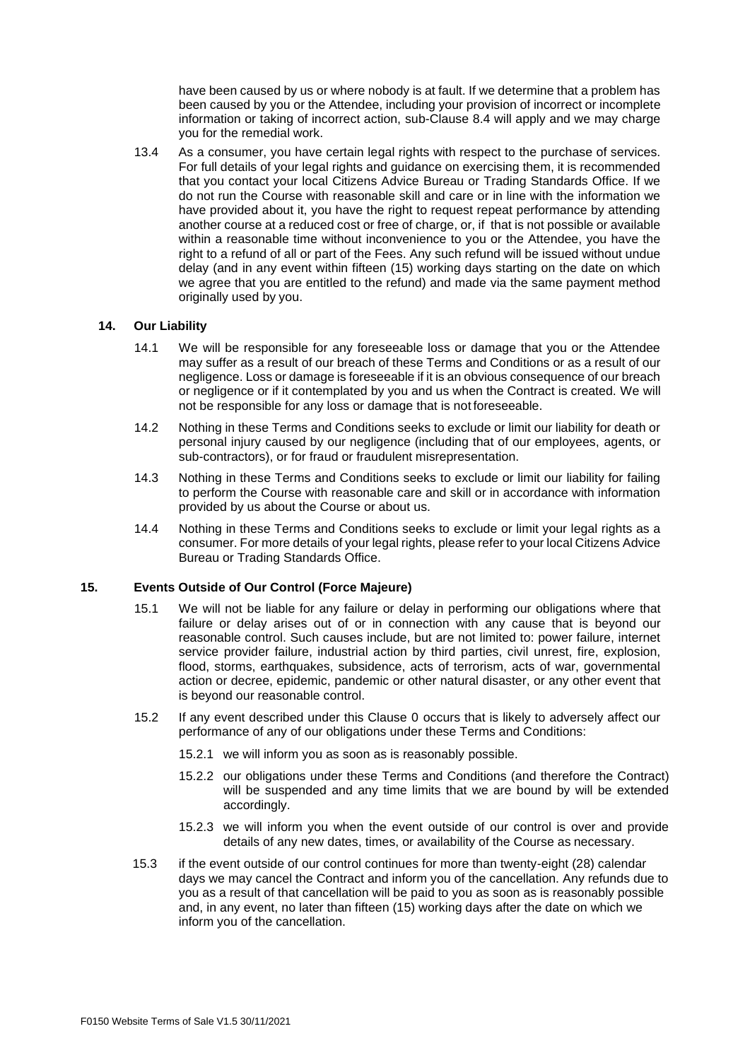have been caused by us or where nobody is at fault. If we determine that a problem has been caused by you or the Attendee, including your provision of incorrect or incomplete information or taking of incorrect action, sub-Clause [8.4](#page-3-1) will apply and we may charge you for the remedial work.

13.4 As a consumer, you have certain legal rights with respect to the purchase of services. For full details of your legal rights and guidance on exercising them, it is recommended that you contact your local Citizens Advice Bureau or Trading Standards Office. If we do not run the Course with reasonable skill and care or in line with the information we have provided about it, you have the right to request repeat performance by attending another course at a reduced cost or free of charge, or, if that is not possible or available within a reasonable time without inconvenience to you or the Attendee, you have the right to a refund of all or part of the Fees. Any such refund will be issued without undue delay (and in any event within fifteen (15) working days starting on the date on which we agree that you are entitled to the refund) and made via the same payment method originally used by you.

### <span id="page-5-1"></span>**14. Our Liability**

- 14.1 We will be responsible for any foreseeable loss or damage that you or the Attendee may suffer as a result of our breach of these Terms and Conditions or as a result of our negligence. Loss or damage is foreseeable if it is an obvious consequence of our breach or negligence or if it contemplated by you and us when the Contract is created. We will not be responsible for any loss or damage that is not foreseeable.
- 14.2 Nothing in these Terms and Conditions seeks to exclude or limit our liability for death or personal injury caused by our negligence (including that of our employees, agents, or sub-contractors), or for fraud or fraudulent misrepresentation.
- 14.3 Nothing in these Terms and Conditions seeks to exclude or limit our liability for failing to perform the Course with reasonable care and skill or in accordance with information provided by us about the Course or about us.
- 14.4 Nothing in these Terms and Conditions seeks to exclude or limit your legal rights as a consumer. For more details of your legal rights, please refer to your local Citizens Advice Bureau or Trading Standards Office.

### <span id="page-5-0"></span>**15. Events Outside of Our Control (Force Majeure)**

- 15.1 We will not be liable for any failure or delay in performing our obligations where that failure or delay arises out of or in connection with any cause that is beyond our reasonable control. Such causes include, but are not limited to: power failure, internet service provider failure, industrial action by third parties, civil unrest, fire, explosion, flood, storms, earthquakes, subsidence, acts of terrorism, acts of war, governmental action or decree, epidemic, pandemic or other natural disaster, or any other event that is beyond our reasonable control.
- 15.2 If any event described under this Clause [0](#page-5-0) occurs that is likely to adversely affect our performance of any of our obligations under these Terms and Conditions:
	- 15.2.1 we will inform you as soon as is reasonably possible.
	- 15.2.2 our obligations under these Terms and Conditions (and therefore the Contract) will be suspended and any time limits that we are bound by will be extended accordingly.
	- 15.2.3 we will inform you when the event outside of our control is over and provide details of any new dates, times, or availability of the Course as necessary.
- <span id="page-5-2"></span>15.3 if the event outside of our control continues for more than twenty-eight (28) calendar days we may cancel the Contract and inform you of the cancellation. Any refunds due to you as a result of that cancellation will be paid to you as soon as is reasonably possible and, in any event, no later than fifteen (15) working days after the date on which we inform you of the cancellation.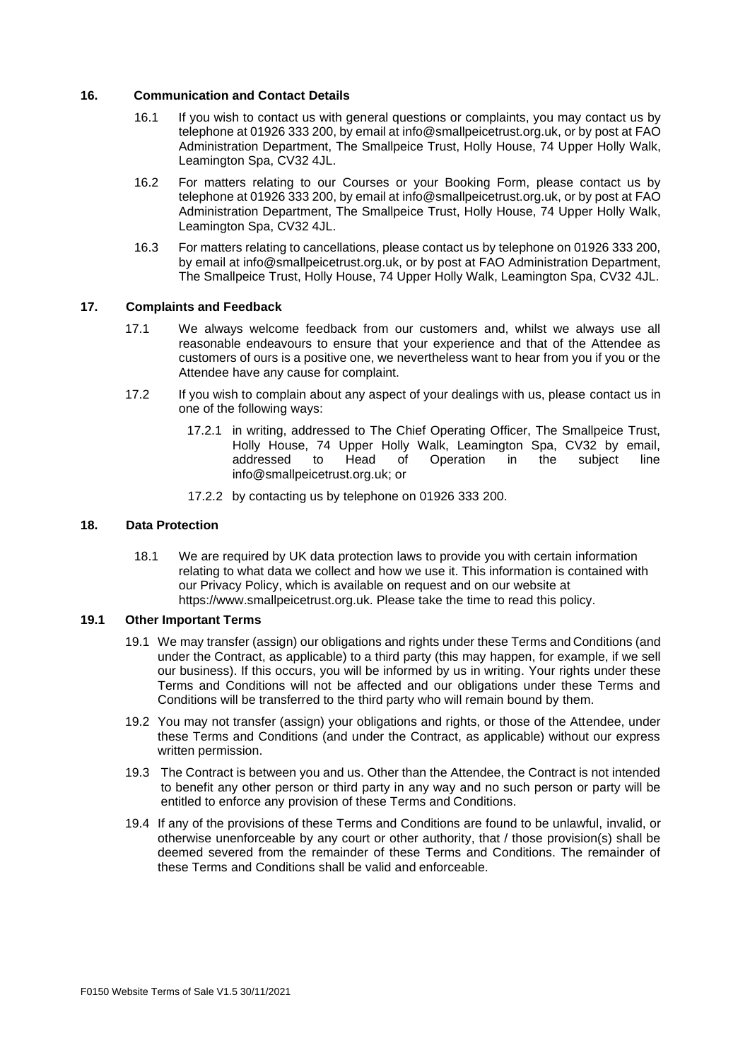### **16. Communication and Contact Details**

- 16.1 If you wish to contact us with general questions or complaints, you may contact us by telephone at 01926 333 200, by email a[t info@smallpeicetrust.org.uk,](mailto:info@smallpeicetrust.org.uk) or by post at FAO Administration Department, The Smallpeice Trust, Holly House, 74 Upper Holly Walk, Leamington Spa, CV32 4JL.
- 16.2 For matters relating to our Courses or your Booking Form, please contact us by telephone at 01926 333 200, by email a[t info@smallpeicetrust.org.uk,](mailto:info@smallpeicetrust.org.uk) or by post at FAO Administration Department, The Smallpeice Trust, Holly House, 74 Upper Holly Walk, Leamington Spa, CV32 4JL.
- 16.3 For matters relating to cancellations, please contact us by telephone on 01926 333 200, by email at [info@smallpeicetrust.org.uk,](mailto:info@smallpeicetrust.org.uk) or by post at FAO Administration Department, The Smallpeice Trust, Holly House, 74 Upper Holly Walk, Leamington Spa, CV32 4JL.

### **17. Complaints and Feedback**

- 17.1 We always welcome feedback from our customers and, whilst we always use all reasonable endeavours to ensure that your experience and that of the Attendee as customers of ours is a positive one, we nevertheless want to hear from you if you or the Attendee have any cause for complaint.
- 17.2 If you wish to complain about any aspect of your dealings with us, please contact us in one of the following ways:
	- 17.2.1 in writing, addressed to The Chief Operating Officer, The Smallpeice Trust, Holly House, 74 Upper Holly Walk, Leamington Spa, CV32 by email, addressed to Head of Operation in the subject line [info@smallpeicetrust.org.uk;](mailto:info@smallpeicetrust.org.uk) or
	- 17.2.2 by contacting us by telephone on 01926 333 200.

## **18. Data Protection**

18.1 We are required by UK data protection laws to provide you with certain information relating to what data we collect and how we use it. This information is contained with our Privacy Policy, which is available on request and on our website at https://www.smallpeicetrust.org.uk. Please take the time to read this policy.

## **19.1 Other Important Terms**

- 19.1 We may transfer (assign) our obligations and rights under these Terms and Conditions (and under the Contract, as applicable) to a third party (this may happen, for example, if we sell our business). If this occurs, you will be informed by us in writing. Your rights under these Terms and Conditions will not be affected and our obligations under these Terms and Conditions will be transferred to the third party who will remain bound by them.
- 19.2 You may not transfer (assign) your obligations and rights, or those of the Attendee, under these Terms and Conditions (and under the Contract, as applicable) without our express written permission.
- 19.3 The Contract is between you and us. Other than the Attendee, the Contract is not intended to benefit any other person or third party in any way and no such person or party will be entitled to enforce any provision of these Terms and Conditions.
- 19.4 If any of the provisions of these Terms and Conditions are found to be unlawful, invalid, or otherwise unenforceable by any court or other authority, that / those provision(s) shall be deemed severed from the remainder of these Terms and Conditions. The remainder of these Terms and Conditions shall be valid and enforceable.